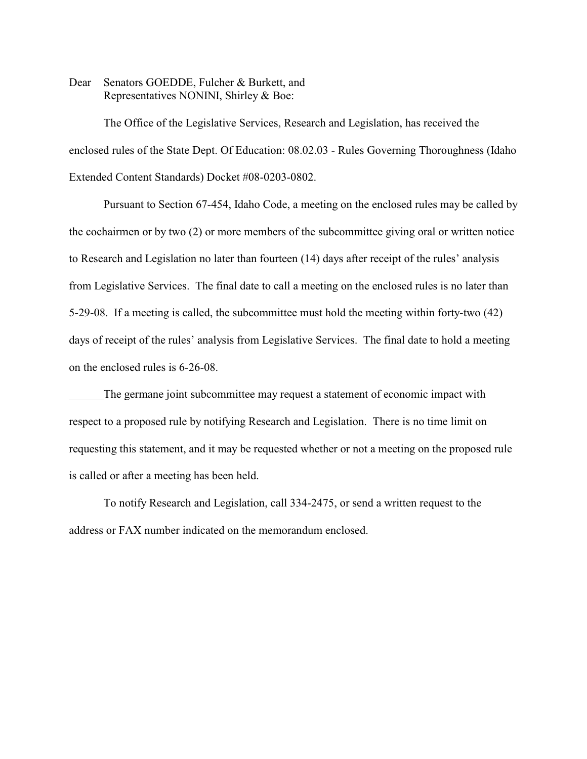Dear Senators GOEDDE, Fulcher & Burkett, and Representatives NONINI, Shirley & Boe:

The Office of the Legislative Services, Research and Legislation, has received the enclosed rules of the State Dept. Of Education: 08.02.03 - Rules Governing Thoroughness (Idaho Extended Content Standards) Docket #08-0203-0802.

Pursuant to Section 67-454, Idaho Code, a meeting on the enclosed rules may be called by the cochairmen or by two (2) or more members of the subcommittee giving oral or written notice to Research and Legislation no later than fourteen (14) days after receipt of the rules' analysis from Legislative Services. The final date to call a meeting on the enclosed rules is no later than 5-29-08. If a meeting is called, the subcommittee must hold the meeting within forty-two (42) days of receipt of the rules' analysis from Legislative Services. The final date to hold a meeting on the enclosed rules is 6-26-08.

The germane joint subcommittee may request a statement of economic impact with respect to a proposed rule by notifying Research and Legislation. There is no time limit on requesting this statement, and it may be requested whether or not a meeting on the proposed rule is called or after a meeting has been held.

To notify Research and Legislation, call 334-2475, or send a written request to the address or FAX number indicated on the memorandum enclosed.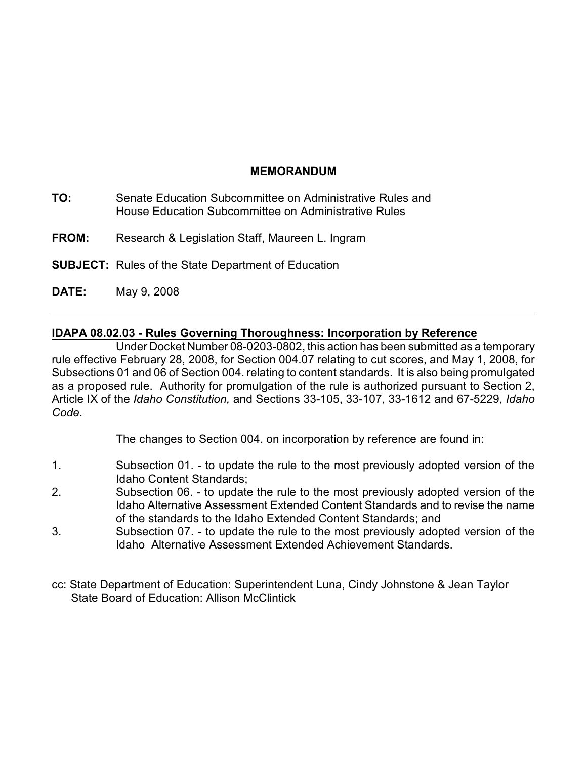## **MEMORANDUM**

- **TO:** Senate Education Subcommittee on Administrative Rules and House Education Subcommittee on Administrative Rules
- **FROM:** Research & Legislation Staff, Maureen L. Ingram
- **SUBJECT:** Rules of the State Department of Education
- **DATE:** May 9, 2008

# **IDAPA 08.02.03 - Rules Governing Thoroughness: Incorporation by Reference**

Under Docket Number 08-0203-0802, this action has been submitted as a temporary rule effective February 28, 2008, for Section 004.07 relating to cut scores, and May 1, 2008, for Subsections 01 and 06 of Section 004. relating to content standards. It is also being promulgated as a proposed rule. Authority for promulgation of the rule is authorized pursuant to Section 2, Article IX of the *Idaho Constitution,* and Sections 33-105, 33-107, 33-1612 and 67-5229, *Idaho Code*.

The changes to Section 004. on incorporation by reference are found in:

- 1. Subsection 01. to update the rule to the most previously adopted version of the Idaho Content Standards;
- 2. Subsection 06. to update the rule to the most previously adopted version of the Idaho Alternative Assessment Extended Content Standards and to revise the name of the standards to the Idaho Extended Content Standards; and
- 3. Subsection 07. to update the rule to the most previously adopted version of the Idaho Alternative Assessment Extended Achievement Standards.
- cc: State Department of Education: Superintendent Luna, Cindy Johnstone & Jean Taylor State Board of Education: Allison McClintick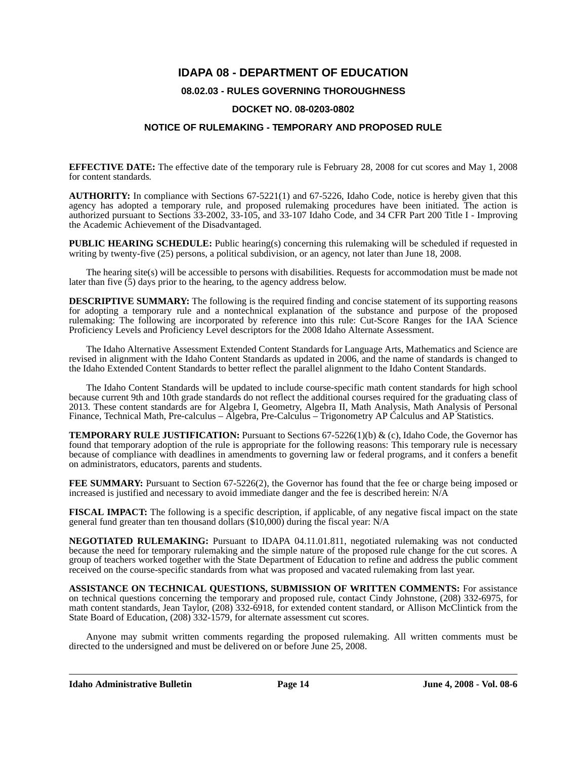## **IDAPA 08 - DEPARTMENT OF EDUCATION**

### **08.02.03 - RULES GOVERNING THOROUGHNESS**

#### **DOCKET NO. 08-0203-0802**

#### **NOTICE OF RULEMAKING - TEMPORARY AND PROPOSED RULE**

**EFFECTIVE DATE:** The effective date of the temporary rule is February 28, 2008 for cut scores and May 1, 2008 for content standards*.*

**AUTHORITY:** In compliance with Sections 67-5221(1) and 67-5226, Idaho Code, notice is hereby given that this agency has adopted a temporary rule, and proposed rulemaking procedures have been initiated. The action is authorized pursuant to Sections 33-2002, 33-105, and 33-107 Idaho Code, and 34 CFR Part 200 Title I - Improving the Academic Achievement of the Disadvantaged.

**PUBLIC HEARING SCHEDULE:** Public hearing(s) concerning this rulemaking will be scheduled if requested in writing by twenty-five (25) persons, a political subdivision, or an agency, not later than June 18, 2008.

The hearing site(s) will be accessible to persons with disabilities. Requests for accommodation must be made not later than five (5) days prior to the hearing, to the agency address below.

**DESCRIPTIVE SUMMARY:** The following is the required finding and concise statement of its supporting reasons for adopting a temporary rule and a nontechnical explanation of the substance and purpose of the proposed rulemaking: The following are incorporated by reference into this rule: Cut-Score Ranges for the IAA Science Proficiency Levels and Proficiency Level descriptors for the 2008 Idaho Alternate Assessment.

The Idaho Alternative Assessment Extended Content Standards for Language Arts, Mathematics and Science are revised in alignment with the Idaho Content Standards as updated in 2006, and the name of standards is changed to the Idaho Extended Content Standards to better reflect the parallel alignment to the Idaho Content Standards.

The Idaho Content Standards will be updated to include course-specific math content standards for high school because current 9th and 10th grade standards do not reflect the additional courses required for the graduating class of 2013. These content standards are for Algebra I, Geometry, Algebra II, Math Analysis, Math Analysis of Personal Finance, Technical Math, Pre-calculus – Algebra, Pre-Calculus – Trigonometry AP Calculus and AP Statistics.

**TEMPORARY RULE JUSTIFICATION:** Pursuant to Sections 67-5226(1)(b) & (c), Idaho Code, the Governor has found that temporary adoption of the rule is appropriate for the following reasons: This temporary rule is necessary because of compliance with deadlines in amendments to governing law or federal programs, and it confers a benefit on administrators, educators, parents and students.

**FEE SUMMARY:** Pursuant to Section 67-5226(2), the Governor has found that the fee or charge being imposed or increased is justified and necessary to avoid immediate danger and the fee is described herein: N/A

**FISCAL IMPACT:** The following is a specific description, if applicable, of any negative fiscal impact on the state general fund greater than ten thousand dollars (\$10,000) during the fiscal year: N/A

**NEGOTIATED RULEMAKING:** Pursuant to IDAPA 04.11.01.811, negotiated rulemaking was not conducted because the need for temporary rulemaking and the simple nature of the proposed rule change for the cut scores. A group of teachers worked together with the State Department of Education to refine and address the public comment received on the course-specific standards from what was proposed and vacated rulemaking from last year.

**ASSISTANCE ON TECHNICAL QUESTIONS, SUBMISSION OF WRITTEN COMMENTS:** For assistance on technical questions concerning the temporary and proposed rule, contact Cindy Johnstone, (208) 332-6975, for math content standards, Jean Taylor, (208) 332-6918, for extended content standard, or Allison McClintick from the State Board of Education, (208) 332-1579, for alternate assessment cut scores.

Anyone may submit written comments regarding the proposed rulemaking. All written comments must be directed to the undersigned and must be delivered on or before June 25, 2008.